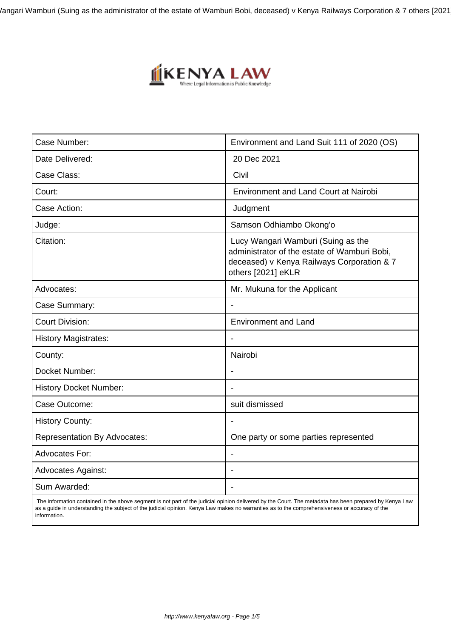/angari Wamburi (Suing as the administrator of the estate of Wamburi Bobi, deceased) v Kenya Railways Corporation & 7 others [2021



| Case Number:                        | Environment and Land Suit 111 of 2020 (OS)                                                                                                             |  |
|-------------------------------------|--------------------------------------------------------------------------------------------------------------------------------------------------------|--|
| Date Delivered:                     | 20 Dec 2021                                                                                                                                            |  |
| Case Class:                         | Civil                                                                                                                                                  |  |
| Court:                              | <b>Environment and Land Court at Nairobi</b>                                                                                                           |  |
| Case Action:                        | Judgment                                                                                                                                               |  |
| Judge:                              | Samson Odhiambo Okong'o                                                                                                                                |  |
| Citation:                           | Lucy Wangari Wamburi (Suing as the<br>administrator of the estate of Wamburi Bobi,<br>deceased) v Kenya Railways Corporation & 7<br>others [2021] eKLR |  |
| Advocates:                          | Mr. Mukuna for the Applicant                                                                                                                           |  |
| Case Summary:                       |                                                                                                                                                        |  |
| <b>Court Division:</b>              | <b>Environment and Land</b>                                                                                                                            |  |
| <b>History Magistrates:</b>         | $\overline{\phantom{a}}$                                                                                                                               |  |
| County:                             | Nairobi                                                                                                                                                |  |
| Docket Number:                      |                                                                                                                                                        |  |
| <b>History Docket Number:</b>       |                                                                                                                                                        |  |
| Case Outcome:                       | suit dismissed                                                                                                                                         |  |
| <b>History County:</b>              |                                                                                                                                                        |  |
| <b>Representation By Advocates:</b> | One party or some parties represented                                                                                                                  |  |
| <b>Advocates For:</b>               | $\overline{\phantom{a}}$                                                                                                                               |  |
| <b>Advocates Against:</b>           |                                                                                                                                                        |  |
| Sum Awarded:                        |                                                                                                                                                        |  |

 The information contained in the above segment is not part of the judicial opinion delivered by the Court. The metadata has been prepared by Kenya Law as a guide in understanding the subject of the judicial opinion. Kenya Law makes no warranties as to the comprehensiveness or accuracy of the information.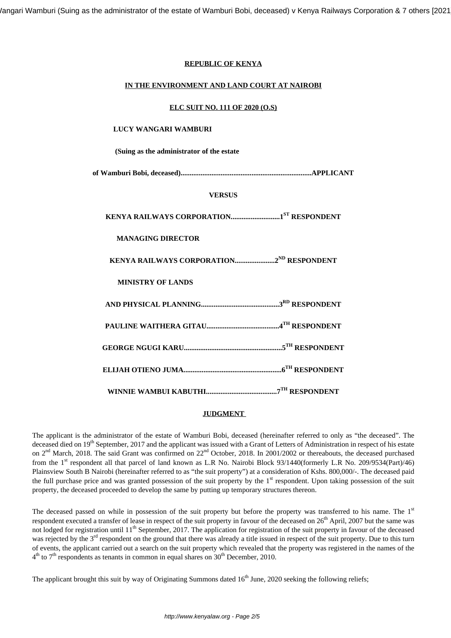## **REPUBLIC OF KENYA**

## **IN THE ENVIRONMENT AND LAND COURT AT NAIROBI**

#### **ELC SUIT NO. 111 OF 2020 (O.S)**

#### **LUCY WANGARI WAMBURI**

**(Suing as the administrator of the estate**

**of Wamburi Bobi, deceased)........................................................................APPLICANT**

## **VERSUS**

**KENYA RAILWAYS CORPORATION...........................1ST RESPONDENT**

## **MANAGING DIRECTOR**

**KENYA RAILWAYS CORPORATION......................2ND RESPONDENT**

## **MINISTRY OF LANDS**

## **JUDGMENT**

The applicant is the administrator of the estate of Wamburi Bobi, deceased (hereinafter referred to only as "the deceased". The deceased died on 19<sup>th</sup> September, 2017 and the applicant was issued with a Grant of Letters of Administration in respect of his estate on 2<sup>nd</sup> March, 2018. The said Grant was confirmed on 22<sup>nd</sup> October, 2018. In 2001/2002 or thereabouts, the deceased purchased from the 1<sup>st</sup> respondent all that parcel of land known as L.R No. Nairobi Block 93/1440(formerly L.R No. 209/9534(Part)/46) Plainsview South B Nairobi (hereinafter referred to as "the suit property") at a consideration of Kshs. 800,000/-. The deceased paid the full purchase price and was granted possession of the suit property by the 1<sup>st</sup> respondent. Upon taking possession of the suit property, the deceased proceeded to develop the same by putting up temporary structures thereon.

The deceased passed on while in possession of the suit property but before the property was transferred to his name. The 1<sup>st</sup> respondent executed a transfer of lease in respect of the suit property in favour of the deceased on 26<sup>th</sup> April, 2007 but the same was not lodged for registration until 11<sup>th</sup> September, 2017. The application for registration of the suit property in favour of the deceased was rejected by the 3<sup>rd</sup> respondent on the ground that there was already a title issued in respect of the suit property. Due to this turn of events, the applicant carried out a search on the suit property which revealed that the property was registered in the names of the  $4<sup>th</sup>$  to 7<sup>th</sup> respondents as tenants in common in equal shares on 30<sup>th</sup> December, 2010.

The applicant brought this suit by way of Originating Summons dated  $16<sup>th</sup>$  June, 2020 seeking the following reliefs;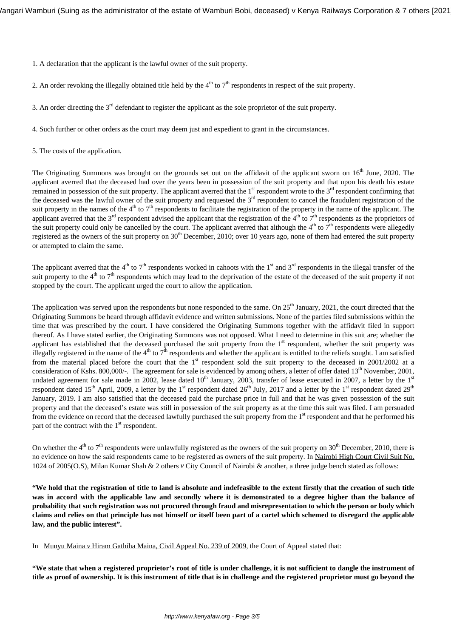1. A declaration that the applicant is the lawful owner of the suit property.

2. An order revoking the illegally obtained title held by the  $4<sup>th</sup>$  to  $7<sup>th</sup>$  respondents in respect of the suit property.

3. An order directing the  $3<sup>rd</sup>$  defendant to register the applicant as the sole proprietor of the suit property.

4. Such further or other orders as the court may deem just and expedient to grant in the circumstances.

5. The costs of the application.

The Originating Summons was brought on the grounds set out on the affidavit of the applicant sworn on 16<sup>th</sup> June, 2020. The applicant averred that the deceased had over the years been in possession of the suit property and that upon his death his estate remained in possession of the suit property. The applicant averred that the  $1<sup>st</sup>$  respondent wrote to the  $3<sup>rd</sup>$  respondent confirming that the deceased was the lawful owner of the suit property and requested the  $3<sup>rd</sup>$  respondent to cancel the fraudulent registration of the suit property in the names of the 4<sup>th</sup> to 7<sup>th</sup> respondents to facilitate the registration of the property in the name of the applicant. The applicant averred that the  $3<sup>rd</sup>$  respondent advised the applicant that the registration of the 4<sup>th</sup> to 7<sup>th</sup> respondents as the proprietors of the suit property could only be cancelled by the court. The applicant averred that although the  $4<sup>th</sup>$  to  $7<sup>th</sup>$  respondents were allegedly registered as the owners of the suit property on  $30<sup>th</sup>$  December, 2010; over 10 years ago, none of them had entered the suit property or attempted to claim the same.

The applicant averred that the  $4<sup>th</sup>$  to  $7<sup>th</sup>$  respondents worked in cahoots with the  $1<sup>st</sup>$  and  $3<sup>rd</sup>$  respondents in the illegal transfer of the suit property to the 4<sup>th</sup> to 7<sup>th</sup> respondents which may lead to the deprivation of the estate of the deceased of the suit property if not stopped by the court. The applicant urged the court to allow the application.

The application was served upon the respondents but none responded to the same. On 25<sup>th</sup> January, 2021, the court directed that the Originating Summons be heard through affidavit evidence and written submissions. None of the parties filed submissions within the time that was prescribed by the court. I have considered the Originating Summons together with the affidavit filed in support thereof. As I have stated earlier, the Originating Summons was not opposed. What I need to determine in this suit are; whether the applicant has established that the deceased purchased the suit property from the 1<sup>st</sup> respondent, whether the suit property was illegally registered in the name of the  $4<sup>th</sup>$  to  $7<sup>th</sup>$  respondents and whether the applicant is entitled to the reliefs sought. I am satisfied from the material placed before the court that the  $1<sup>st</sup>$  respondent sold the suit property to the deceased in 2001/2002 at a consideration of Kshs. 800,000/-. The agreement for sale is evidenced by among others, a letter of offer dated  $13<sup>th</sup>$  November, 2001, undated agreement for sale made in 2002, lease dated  $10<sup>th</sup>$  January, 2003, transfer of lease executed in 2007, a letter by the  $1<sup>st</sup>$ respondent dated 15<sup>th</sup> April, 2009, a letter by the 1<sup>st</sup> respondent dated  $26<sup>th</sup>$  July, 2017 and a letter by the 1<sup>st</sup> respondent dated  $29<sup>th</sup>$ January, 2019. I am also satisfied that the deceased paid the purchase price in full and that he was given possession of the suit property and that the deceased's estate was still in possession of the suit property as at the time this suit was filed. I am persuaded from the evidence on record that the deceased lawfully purchased the suit property from the 1<sup>st</sup> respondent and that he performed his part of the contract with the  $1<sup>st</sup>$  respondent.

On whether the  $4<sup>th</sup>$  to  $7<sup>th</sup>$  respondents were unlawfully registered as the owners of the suit property on 30<sup>th</sup> December, 2010, there is no evidence on how the said respondents came to be registered as owners of the suit property. In Nairobi High Court Civil Suit No. 1024 of 2005(O.S), Milan Kumar Shah & 2 others *v* City Council of Nairobi & another, a three judge bench stated as follows:

**"We hold that the registration of title to land is absolute and indefeasible to the extent firstly that the creation of such title was in accord with the applicable law and secondly where it is demonstrated to a degree higher than the balance of probability that such registration was not procured through fraud and misrepresentation to which the person or body which claims and relies on that principle has not himself or itself been part of a cartel which schemed to disregard the applicable law, and the public interest".** 

In Munyu Maina *v* Hiram Gathiha Maina, Civil Appeal No. 239 of 2009, the Court of Appeal stated that:

**"We state that when a registered proprietor's root of title is under challenge, it is not sufficient to dangle the instrument of title as proof of ownership. It is this instrument of title that is in challenge and the registered proprietor must go beyond the**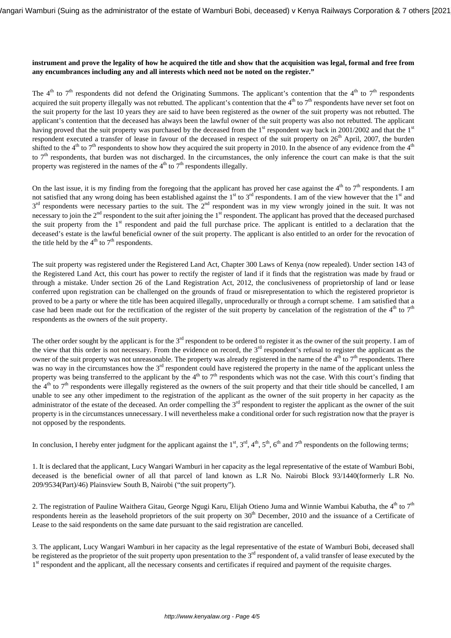## **instrument and prove the legality of how he acquired the title and show that the acquisition was legal, formal and free from any encumbrances including any and all interests which need not be noted on the register."**

The 4<sup>th</sup> to 7<sup>th</sup> respondents did not defend the Originating Summons. The applicant's contention that the 4<sup>th</sup> to 7<sup>th</sup> respondents acquired the suit property illegally was not rebutted. The applicant's contention that the  $4<sup>th</sup>$  to  $7<sup>th</sup>$  respondents have never set foot on the suit property for the last 10 years they are said to have been registered as the owner of the suit property was not rebutted. The applicant's contention that the deceased has always been the lawful owner of the suit property was also not rebutted. The applicant having proved that the suit property was purchased by the deceased from the 1st respondent way back in 2001/2002 and that the 1st respondent executed a transfer of lease in favour of the deceased in respect of the suit property on  $26<sup>th</sup>$  April, 2007, the burden shifted to the  $4<sup>th</sup>$  to  $7<sup>th</sup>$  respondents to show how they acquired the suit property in 2010. In the absence of any evidence from the  $4<sup>th</sup>$ to  $7<sup>th</sup>$  respondents, that burden was not discharged. In the circumstances, the only inference the court can make is that the suit property was registered in the names of the  $4<sup>th</sup>$  to  $7<sup>th</sup>$  respondents illegally.

On the last issue, it is my finding from the foregoing that the applicant has proved her case against the  $4<sup>th</sup>$  to  $7<sup>th</sup>$  respondents. I am not satisfied that any wrong doing has been established against the 1<sup>st</sup> to 3<sup>rd</sup> respondents. I am of the view however that the 1<sup>st</sup> and  $3<sup>rd</sup>$  respondents were necessary parties to the suit. The  $2<sup>nd</sup>$  respondent was in my view wrongly joined in the suit. It was not necessary to join the  $2<sup>nd</sup>$  respondent to the suit after joining the  $1<sup>st</sup>$  respondent. The applicant has proved that the deceased purchased the suit property from the 1<sup>st</sup> respondent and paid the full purchase price. The applicant is entitled to a declaration that the deceased's estate is the lawful beneficial owner of the suit property. The applicant is also entitled to an order for the revocation of the title held by the  $4<sup>th</sup>$  to  $7<sup>th</sup>$  respondents.

The suit property was registered under the Registered Land Act, Chapter 300 Laws of Kenya (now repealed). Under section 143 of the Registered Land Act, this court has power to rectify the register of land if it finds that the registration was made by fraud or through a mistake. Under section 26 of the Land Registration Act, 2012, the conclusiveness of proprietorship of land or lease conferred upon registration can be challenged on the grounds of fraud or misrepresentation to which the registered proprietor is proved to be a party or where the title has been acquired illegally, unprocedurally or through a corrupt scheme. I am satisfied that a case had been made out for the rectification of the register of the suit property by cancelation of the registration of the  $4<sup>th</sup>$  to  $7<sup>th</sup>$ respondents as the owners of the suit property.

The other order sought by the applicant is for the  $3<sup>rd</sup>$  respondent to be ordered to register it as the owner of the suit property. I am of the view that this order is not necessary. From the evidence on record, the  $3<sup>rd</sup>$  respondent's refusal to register the applicant as the owner of the suit property was not unreasonable. The property was already registered in the name of the  $4<sup>th</sup>$  to  $7<sup>th</sup>$  respondents. There was no way in the circumstances how the 3<sup>rd</sup> respondent could have registered the property in the name of the applicant unless the property was being transferred to the applicant by the  $4<sup>th</sup>$  to  $7<sup>th</sup>$  respondents which was not the case. With this court's finding that the  $4<sup>th</sup>$  to  $7<sup>th</sup>$  respondents were illegally registered as the owners of the suit property and that their title should be cancelled, I am unable to see any other impediment to the registration of the applicant as the owner of the suit property in her capacity as the administrator of the estate of the deceased. An order compelling the 3<sup>rd</sup> respondent to register the applicant as the owner of the suit property is in the circumstances unnecessary. I will nevertheless make a conditional order for such registration now that the prayer is not opposed by the respondents.

In conclusion, I hereby enter judgment for the applicant against the  $1<sup>st</sup>$ ,  $3<sup>rd</sup>$ ,  $4<sup>th</sup>$ ,  $5<sup>th</sup>$ ,  $6<sup>th</sup>$  and  $7<sup>th</sup>$  respondents on the following terms;

1. It is declared that the applicant, Lucy Wangari Wamburi in her capacity as the legal representative of the estate of Wamburi Bobi, deceased is the beneficial owner of all that parcel of land known as L.R No. Nairobi Block 93/1440(formerly L.R No. 209/9534(Part)/46) Plainsview South B, Nairobi ("the suit property").

2. The registration of Pauline Waithera Gitau, George Ngugi Karu, Elijah Otieno Juma and Winnie Wambui Kabutha, the  $4<sup>th</sup>$  to  $7<sup>th</sup>$ respondents herein as the leasehold proprietors of the suit property on 30<sup>th</sup> December, 2010 and the issuance of a Certificate of Lease to the said respondents on the same date pursuant to the said registration are cancelled.

3. The applicant, Lucy Wangari Wamburi in her capacity as the legal representative of the estate of Wamburi Bobi, deceased shall be registered as the proprietor of the suit property upon presentation to the 3<sup>rd</sup> respondent of, a valid transfer of lease executed by the 1<sup>st</sup> respondent and the applicant, all the necessary consents and certificates if required and payment of the requisite charges.